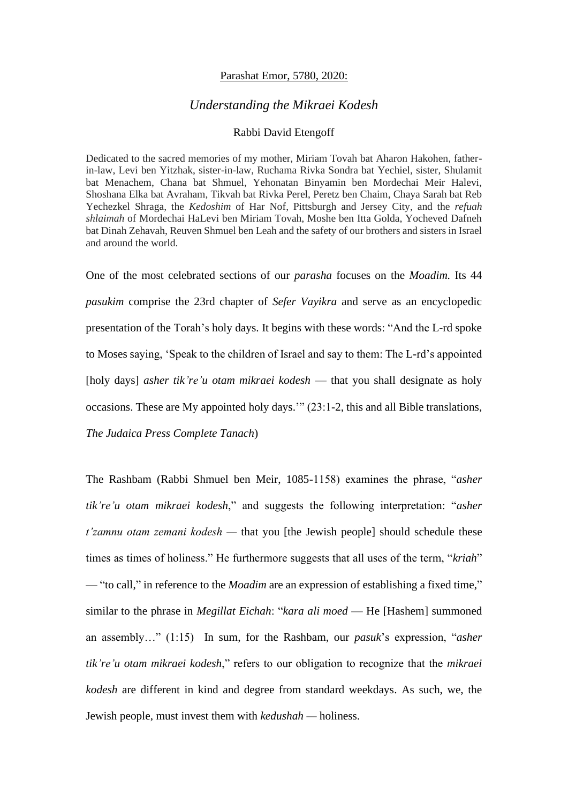## Parashat Emor, 5780, 2020:

## *Understanding the Mikraei Kodesh*

## Rabbi David Etengoff

Dedicated to the sacred memories of my mother, Miriam Tovah bat Aharon Hakohen, fatherin-law, Levi ben Yitzhak, sister-in-law, Ruchama Rivka Sondra bat Yechiel, sister, Shulamit bat Menachem, Chana bat Shmuel, Yehonatan Binyamin ben Mordechai Meir Halevi, Shoshana Elka bat Avraham, Tikvah bat Rivka Perel, Peretz ben Chaim, Chaya Sarah bat Reb Yechezkel Shraga, the *Kedoshim* of Har Nof, Pittsburgh and Jersey City, and the *refuah shlaimah* of Mordechai HaLevi ben Miriam Tovah, Moshe ben Itta Golda, Yocheved Dafneh bat Dinah Zehavah, Reuven Shmuel ben Leah and the safety of our brothers and sisters in Israel and around the world.

One of the most celebrated sections of our *parasha* focuses on the *Moadim.* Its 44 *pasukim* comprise the 23rd chapter of *Sefer Vayikra* and serve as an encyclopedic presentation of the Torah's holy days. It begins with these words: "And the L-rd spoke to Moses saying, 'Speak to the children of Israel and say to them: The L-rd's appointed [holy days] *asher tik're'u otam mikraei kodesh* — that you shall designate as holy occasions. These are My appointed holy days.'" (23:1-2, this and all Bible translations, *The Judaica Press Complete Tanach*)

The Rashbam (Rabbi Shmuel ben Meir, 1085-1158) examines the phrase, "*asher tik're'u otam mikraei kodesh*," and suggests the following interpretation: "*asher t'zamnu otam zemani kodesh —* that you [the Jewish people] should schedule these times as times of holiness." He furthermore suggests that all uses of the term, "*kriah*" — "to call," in reference to the *Moadim* are an expression of establishing a fixed time," similar to the phrase in *Megillat Eichah*: "*kara ali moed* — He [Hashem] summoned an assembly…" (1:15) In sum, for the Rashbam, our *pasuk*'s expression, "*asher tik're'u otam mikraei kodesh*," refers to our obligation to recognize that the *mikraei kodesh* are different in kind and degree from standard weekdays. As such, we, the Jewish people, must invest them with *kedushah —* holiness.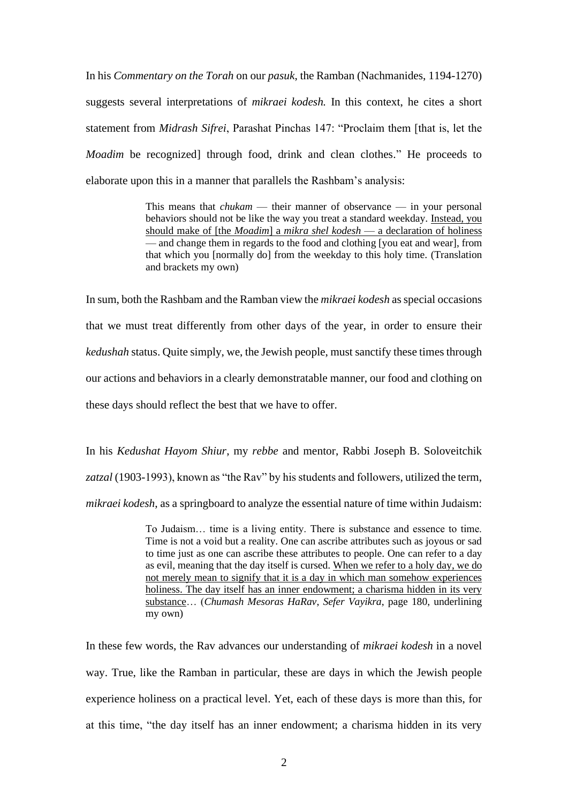In his *Commentary on the Torah* on our *pasuk*, the Ramban (Nachmanides, 1194-1270) suggests several interpretations of *mikraei kodesh.* In this context, he cites a short statement from *Midrash Sifrei*, Parashat Pinchas 147: "Proclaim them [that is, let the *Moadim* be recognized] through food, drink and clean clothes." He proceeds to elaborate upon this in a manner that parallels the Rashbam's analysis:

> This means that *chukam* — their manner of observance — in your personal behaviors should not be like the way you treat a standard weekday. Instead, you should make of [the *Moadim*] a *mikra shel kodesh* — a declaration of holiness — and change them in regards to the food and clothing [you eat and wear], from that which you [normally do] from the weekday to this holy time. (Translation and brackets my own)

In sum, both the Rashbam and the Ramban view the *mikraei kodesh* as special occasions that we must treat differently from other days of the year, in order to ensure their *kedushah* status. Quite simply, we, the Jewish people, must sanctify these times through our actions and behaviors in a clearly demonstratable manner, our food and clothing on these days should reflect the best that we have to offer.

In his *Kedushat Hayom Shiur*, my *rebbe* and mentor, Rabbi Joseph B. Soloveitchik zatzal (1903-1993), known as "the Rav" by his students and followers, utilized the term, *mikraei kodesh*, as a springboard to analyze the essential nature of time within Judaism:

> To Judaism… time is a living entity. There is substance and essence to time. Time is not a void but a reality. One can ascribe attributes such as joyous or sad to time just as one can ascribe these attributes to people. One can refer to a day as evil, meaning that the day itself is cursed. When we refer to a holy day, we do not merely mean to signify that it is a day in which man somehow experiences holiness. The day itself has an inner endowment; a charisma hidden in its very substance… (*Chumash Mesoras HaRav*, *Sefer Vayikra*, page 180, underlining my own)

In these few words, the Rav advances our understanding of *mikraei kodesh* in a novel way. True, like the Ramban in particular, these are days in which the Jewish people experience holiness on a practical level. Yet, each of these days is more than this, for at this time, "the day itself has an inner endowment; a charisma hidden in its very